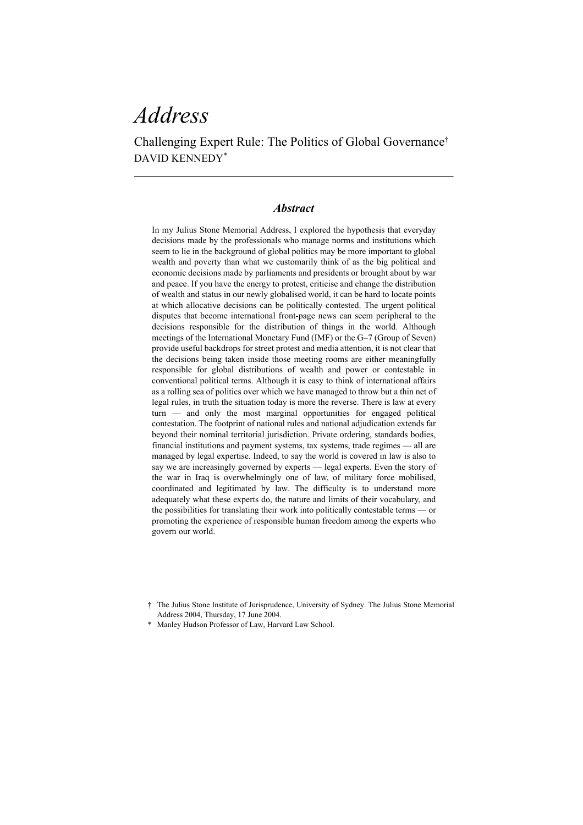# *Address*

Challenging Expert Rule: The Politics of Global Governance† DAVID KENNEDY\*

# *Abstract*

In my Julius Stone Memorial Address, I explored the hypothesis that everyday decisions made by the professionals who manage norms and institutions which seem to lie in the background of global politics may be more important to global wealth and poverty than what we customarily think of as the big political and economic decisions made by parliaments and presidents or brought about by war and peace. If you have the energy to protest, criticise and change the distribution of wealth and status in our newly globalised world, it can be hard to locate points at which allocative decisions can be politically contested. The urgent political disputes that become international front-page news can seem peripheral to the decisions responsible for the distribution of things in the world. Although meetings of the International Monetary Fund (IMF) or the G–7 (Group of Seven) provide useful backdrops for street protest and media attention, it is not clear that the decisions being taken inside those meeting rooms are either meaningfully responsible for global distributions of wealth and power or contestable in conventional political terms. Although it is easy to think of international affairs as a rolling sea of politics over which we have managed to throw but a thin net of legal rules, in truth the situation today is more the reverse. There is law at every turn — and only the most marginal opportunities for engaged political contestation. The footprint of national rules and national adjudication extends far beyond their nominal territorial jurisdiction. Private ordering, standards bodies, financial institutions and payment systems, tax systems, trade regimes — all are managed by legal expertise. Indeed, to say the world is covered in law is also to say we are increasingly governed by experts — legal experts. Even the story of the war in Iraq is overwhelmingly one of law, of military force mobilised, coordinated and legitimated by law. The difficulty is to understand more adequately what these experts do, the nature and limits of their vocabulary, and the possibilities for translating their work into politically contestable terms — or promoting the experience of responsible human freedom among the experts who govern our world.

\* Manley Hudson Professor of Law, Harvard Law School.

<sup>†</sup> The Julius Stone Institute of Jurisprudence, University of Sydney. The Julius Stone Memorial Address 2004, Thursday, 17 June 2004.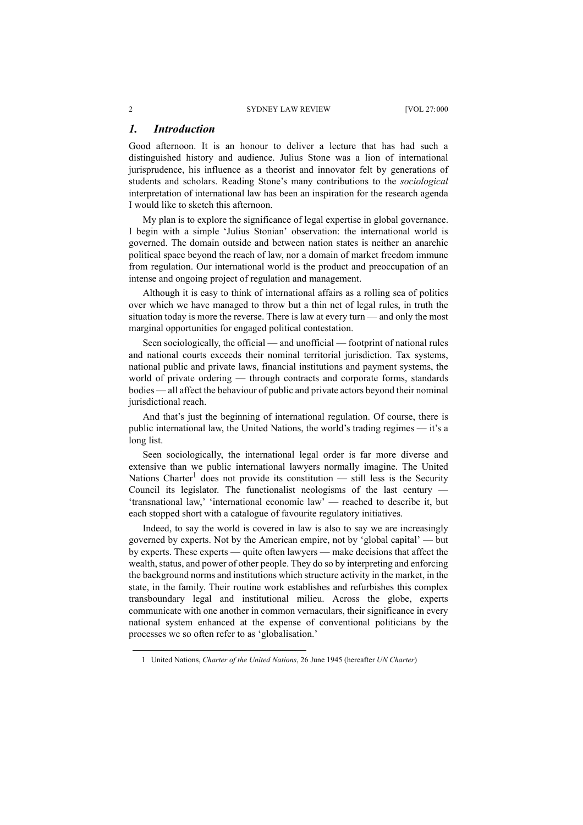# *1. Introduction*

Good afternoon. It is an honour to deliver a lecture that has had such a distinguished history and audience. Julius Stone was a lion of international jurisprudence, his influence as a theorist and innovator felt by generations of students and scholars. Reading Stone's many contributions to the *sociological* interpretation of international law has been an inspiration for the research agenda I would like to sketch this afternoon.

My plan is to explore the significance of legal expertise in global governance. I begin with a simple 'Julius Stonian' observation: the international world is governed. The domain outside and between nation states is neither an anarchic political space beyond the reach of law, nor a domain of market freedom immune from regulation. Our international world is the product and preoccupation of an intense and ongoing project of regulation and management.

Although it is easy to think of international affairs as a rolling sea of politics over which we have managed to throw but a thin net of legal rules, in truth the situation today is more the reverse. There is law at every turn — and only the most marginal opportunities for engaged political contestation.

Seen sociologically, the official — and unofficial — footprint of national rules and national courts exceeds their nominal territorial jurisdiction. Tax systems, national public and private laws, financial institutions and payment systems, the world of private ordering — through contracts and corporate forms, standards bodies — all affect the behaviour of public and private actors beyond their nominal jurisdictional reach.

And that's just the beginning of international regulation. Of course, there is public international law, the United Nations, the world's trading regimes — it's a long list.

Seen sociologically, the international legal order is far more diverse and extensive than we public international lawyers normally imagine. The United Nations Charter<sup>1</sup> does not provide its constitution — still less is the Security Council its legislator. The functionalist neologisms of the last century — 'transnational law,' 'international economic law' — reached to describe it, but each stopped short with a catalogue of favourite regulatory initiatives.

Indeed, to say the world is covered in law is also to say we are increasingly governed by experts. Not by the American empire, not by 'global capital' — but by experts. These experts — quite often lawyers — make decisions that affect the wealth, status, and power of other people. They do so by interpreting and enforcing the background norms and institutions which structure activity in the market, in the state, in the family. Their routine work establishes and refurbishes this complex transboundary legal and institutional milieu. Across the globe, experts communicate with one another in common vernaculars, their significance in every national system enhanced at the expense of conventional politicians by the processes we so often refer to as 'globalisation.'

<sup>1</sup> United Nations, *Charter of the United Nations*, 26 June 1945 (hereafter *UN Charter*)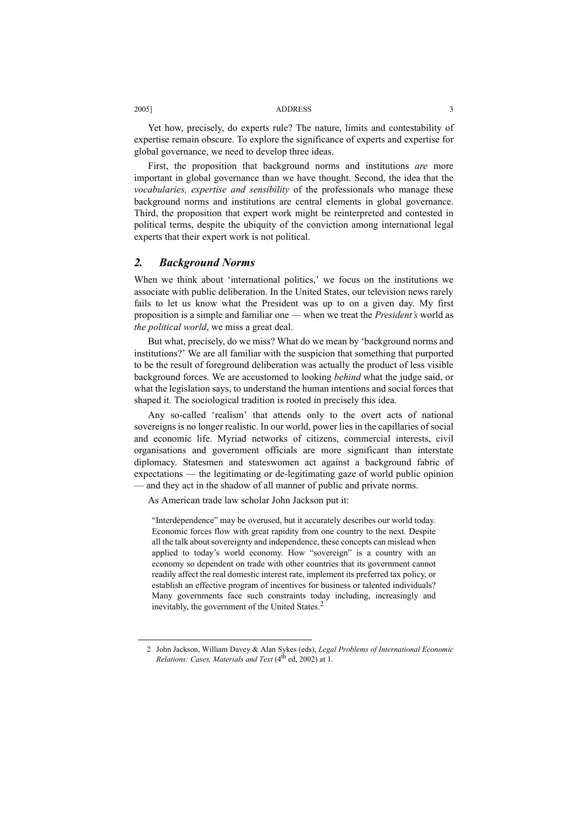Yet how, precisely, do experts rule? The nature, limits and contestability of expertise remain obscure. To explore the significance of experts and expertise for global governance, we need to develop three ideas.

First, the proposition that background norms and institutions *are* more important in global governance than we have thought. Second, the idea that the *vocabularies, expertise and sensibility* of the professionals who manage these background norms and institutions are central elements in global governance. Third, the proposition that expert work might be reinterpreted and contested in political terms, despite the ubiquity of the conviction among international legal experts that their expert work is not political.

# *2. Background Norms*

When we think about 'international politics,' we focus on the institutions we associate with public deliberation. In the United States, our television news rarely fails to let us know what the President was up to on a given day. My first proposition is a simple and familiar one — when we treat the *President's* world as *the political world*, we miss a great deal.

But what, precisely, do we miss? What do we mean by 'background norms and institutions?' We are all familiar with the suspicion that something that purported to be the result of foreground deliberation was actually the product of less visible background forces. We are accustomed to looking *behind* what the judge said, or what the legislation says, to understand the human intentions and social forces that shaped it. The sociological tradition is rooted in precisely this idea.

Any so-called 'realism' that attends only to the overt acts of national sovereigns is no longer realistic. In our world, power lies in the capillaries of social and economic life. Myriad networks of citizens, commercial interests, civil organisations and government officials are more significant than interstate diplomacy. Statesmen and stateswomen act against a background fabric of expectations — the legitimating or de-legitimating gaze of world public opinion — and they act in the shadow of all manner of public and private norms.

As American trade law scholar John Jackson put it:

"Interdependence" may be overused, but it accurately describes our world today. Economic forces flow with great rapidity from one country to the next. Despite all the talk about sovereignty and independence, these concepts can mislead when applied to today's world economy. How "sovereign" is a country with an economy so dependent on trade with other countries that its government cannot readily affect the real domestic interest rate, implement its preferred tax policy, or establish an effective program of incentives for business or talented individuals? Many governments face such constraints today including, increasingly and inevitably, the government of the United States.<sup>2</sup>

<sup>2</sup> John Jackson, William Davey & Alan Sykes (eds), *Legal Problems of International Economic Relations: Cases, Materials and Text* (4<sup>th</sup> ed, 2002) at 1.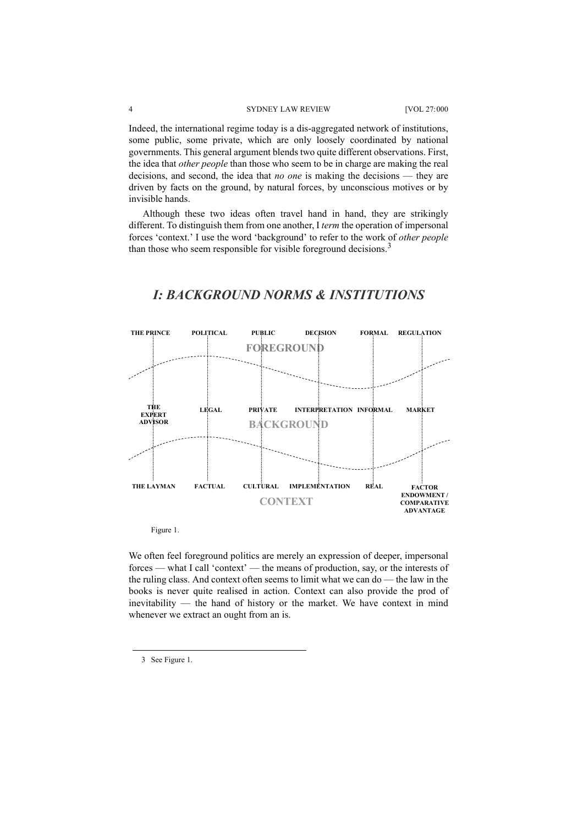### 4 SYDNEY LAW REVIEW [VOL 27:000

Indeed, the international regime today is a dis-aggregated network of institutions, some public, some private, which are only loosely coordinated by national governments. This general argument blends two quite different observations. First, the idea that *other people* than those who seem to be in charge are making the real decisions, and second, the idea that *no one* is making the decisions — they are driven by facts on the ground, by natural forces, by unconscious motives or by invisible hands.

Although these two ideas often travel hand in hand, they are strikingly different. To distinguish them from one another, I *term* the operation of impersonal forces 'context.' I use the word 'background' to refer to the work of *other people* than those who seem responsible for visible foreground decisions.<sup>3</sup>



# *I: BACKGROUND NORMS & INSTITUTIONS*

Figure 1.

We often feel foreground politics are merely an expression of deeper, impersonal forces — what I call 'context' — the means of production, say, or the interests of the ruling class. And context often seems to limit what we can do — the law in the books is never quite realised in action. Context can also provide the prod of inevitability — the hand of history or the market. We have context in mind whenever we extract an ought from an is.

<sup>3</sup> See Figure 1.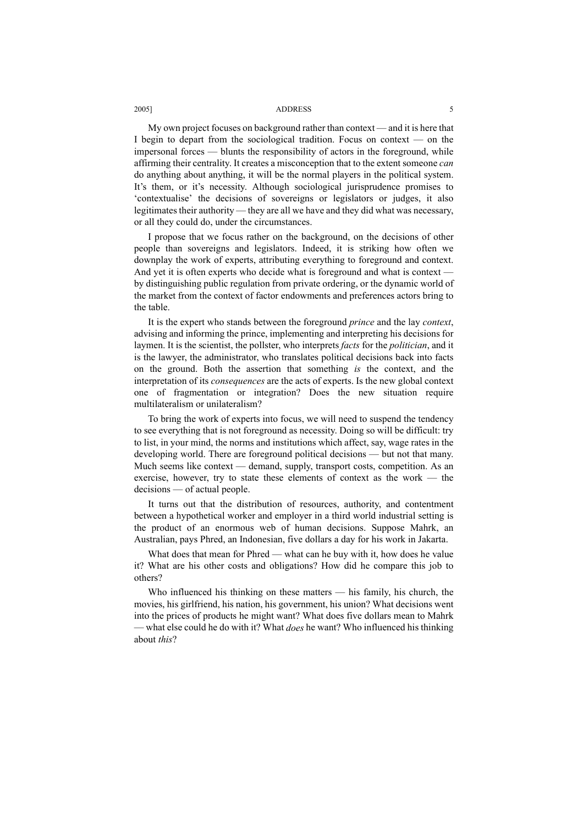My own project focuses on background rather than context — and it is here that I begin to depart from the sociological tradition. Focus on context — on the impersonal forces — blunts the responsibility of actors in the foreground, while affirming their centrality. It creates a misconception that to the extent someone *can* do anything about anything, it will be the normal players in the political system. It's them, or it's necessity. Although sociological jurisprudence promises to 'contextualise' the decisions of sovereigns or legislators or judges, it also legitimates their authority — they are all we have and they did what was necessary, or all they could do, under the circumstances.

I propose that we focus rather on the background, on the decisions of other people than sovereigns and legislators. Indeed, it is striking how often we downplay the work of experts, attributing everything to foreground and context. And yet it is often experts who decide what is foreground and what is context by distinguishing public regulation from private ordering, or the dynamic world of the market from the context of factor endowments and preferences actors bring to the table.

It is the expert who stands between the foreground *prince* and the lay *context*, advising and informing the prince, implementing and interpreting his decisions for laymen. It is the scientist, the pollster, who interprets *facts* for the *politician*, and it is the lawyer, the administrator, who translates political decisions back into facts on the ground. Both the assertion that something *is* the context, and the interpretation of its *consequences* are the acts of experts. Is the new global context one of fragmentation or integration? Does the new situation require multilateralism or unilateralism?

To bring the work of experts into focus, we will need to suspend the tendency to see everything that is not foreground as necessity. Doing so will be difficult: try to list, in your mind, the norms and institutions which affect, say, wage rates in the developing world. There are foreground political decisions — but not that many. Much seems like context — demand, supply, transport costs, competition. As an exercise, however, try to state these elements of context as the work — the decisions — of actual people.

It turns out that the distribution of resources, authority, and contentment between a hypothetical worker and employer in a third world industrial setting is the product of an enormous web of human decisions. Suppose Mahrk, an Australian, pays Phred, an Indonesian, five dollars a day for his work in Jakarta.

What does that mean for Phred — what can he buy with it, how does he value it? What are his other costs and obligations? How did he compare this job to others?

Who influenced his thinking on these matters — his family, his church, the movies, his girlfriend, his nation, his government, his union? What decisions went into the prices of products he might want? What does five dollars mean to Mahrk — what else could he do with it? What *does* he want? Who influenced his thinking about *this*?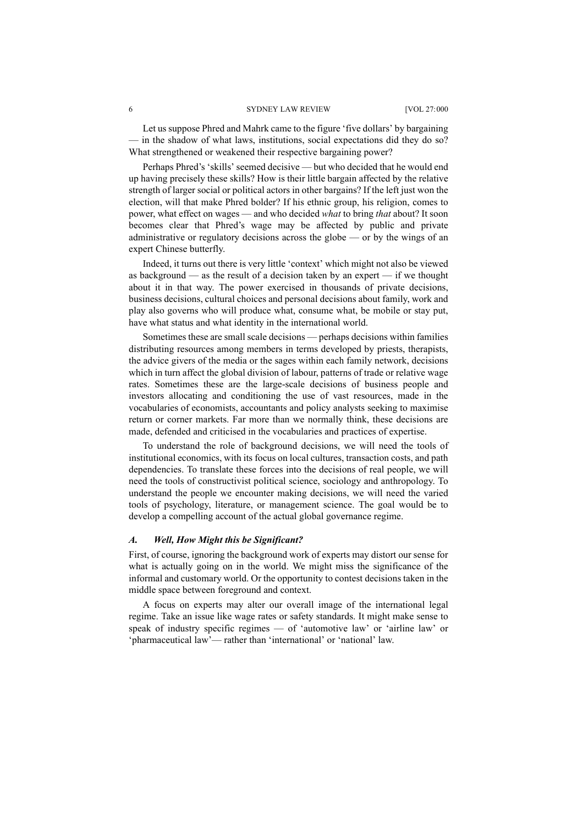Let us suppose Phred and Mahrk came to the figure 'five dollars' by bargaining — in the shadow of what laws, institutions, social expectations did they do so? What strengthened or weakened their respective bargaining power?

Perhaps Phred's 'skills' seemed decisive — but who decided that he would end up having precisely these skills? How is their little bargain affected by the relative strength of larger social or political actors in other bargains? If the left just won the election, will that make Phred bolder? If his ethnic group, his religion, comes to power, what effect on wages — and who decided *what* to bring *that* about? It soon becomes clear that Phred's wage may be affected by public and private administrative or regulatory decisions across the globe — or by the wings of an expert Chinese butterfly.

Indeed, it turns out there is very little 'context' which might not also be viewed as background — as the result of a decision taken by an expert — if we thought about it in that way. The power exercised in thousands of private decisions, business decisions, cultural choices and personal decisions about family, work and play also governs who will produce what, consume what, be mobile or stay put, have what status and what identity in the international world.

Sometimes these are small scale decisions — perhaps decisions within families distributing resources among members in terms developed by priests, therapists, the advice givers of the media or the sages within each family network, decisions which in turn affect the global division of labour, patterns of trade or relative wage rates. Sometimes these are the large-scale decisions of business people and investors allocating and conditioning the use of vast resources, made in the vocabularies of economists, accountants and policy analysts seeking to maximise return or corner markets. Far more than we normally think, these decisions are made, defended and criticised in the vocabularies and practices of expertise.

To understand the role of background decisions, we will need the tools of institutional economics, with its focus on local cultures, transaction costs, and path dependencies. To translate these forces into the decisions of real people, we will need the tools of constructivist political science, sociology and anthropology. To understand the people we encounter making decisions, we will need the varied tools of psychology, literature, or management science. The goal would be to develop a compelling account of the actual global governance regime.

# *A. Well, How Might this be Significant?*

First, of course, ignoring the background work of experts may distort our sense for what is actually going on in the world. We might miss the significance of the informal and customary world. Or the opportunity to contest decisions taken in the middle space between foreground and context.

A focus on experts may alter our overall image of the international legal regime. Take an issue like wage rates or safety standards. It might make sense to speak of industry specific regimes — of 'automotive law' or 'airline law' or 'pharmaceutical law'— rather than 'international' or 'national' law.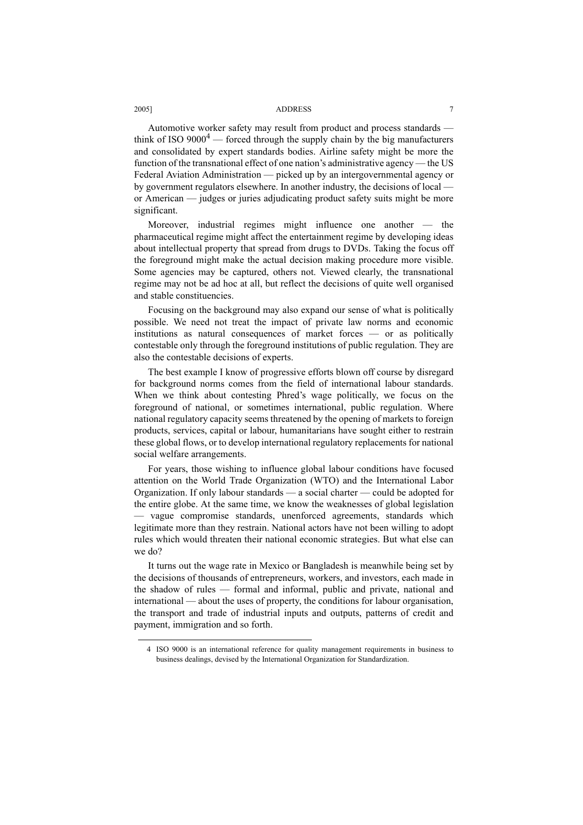Automotive worker safety may result from product and process standards think of ISO  $9000^4$  — forced through the supply chain by the big manufacturers and consolidated by expert standards bodies. Airline safety might be more the function of the transnational effect of one nation's administrative agency — the US Federal Aviation Administration — picked up by an intergovernmental agency or by government regulators elsewhere. In another industry, the decisions of local or American — judges or juries adjudicating product safety suits might be more significant.

Moreover, industrial regimes might influence one another — the pharmaceutical regime might affect the entertainment regime by developing ideas about intellectual property that spread from drugs to DVDs. Taking the focus off the foreground might make the actual decision making procedure more visible. Some agencies may be captured, others not. Viewed clearly, the transnational regime may not be ad hoc at all, but reflect the decisions of quite well organised and stable constituencies.

Focusing on the background may also expand our sense of what is politically possible. We need not treat the impact of private law norms and economic institutions as natural consequences of market forces — or as politically contestable only through the foreground institutions of public regulation. They are also the contestable decisions of experts.

The best example I know of progressive efforts blown off course by disregard for background norms comes from the field of international labour standards. When we think about contesting Phred's wage politically, we focus on the foreground of national, or sometimes international, public regulation. Where national regulatory capacity seems threatened by the opening of markets to foreign products, services, capital or labour, humanitarians have sought either to restrain these global flows, or to develop international regulatory replacements for national social welfare arrangements.

For years, those wishing to influence global labour conditions have focused attention on the World Trade Organization (WTO) and the International Labor Organization. If only labour standards — a social charter — could be adopted for the entire globe. At the same time, we know the weaknesses of global legislation — vague compromise standards, unenforced agreements, standards which legitimate more than they restrain. National actors have not been willing to adopt rules which would threaten their national economic strategies. But what else can we do?

It turns out the wage rate in Mexico or Bangladesh is meanwhile being set by the decisions of thousands of entrepreneurs, workers, and investors, each made in the shadow of rules — formal and informal, public and private, national and international — about the uses of property, the conditions for labour organisation, the transport and trade of industrial inputs and outputs, patterns of credit and payment, immigration and so forth.

<sup>4</sup> ISO 9000 is an international reference for quality management requirements in business to business dealings, devised by the International Organization for Standardization.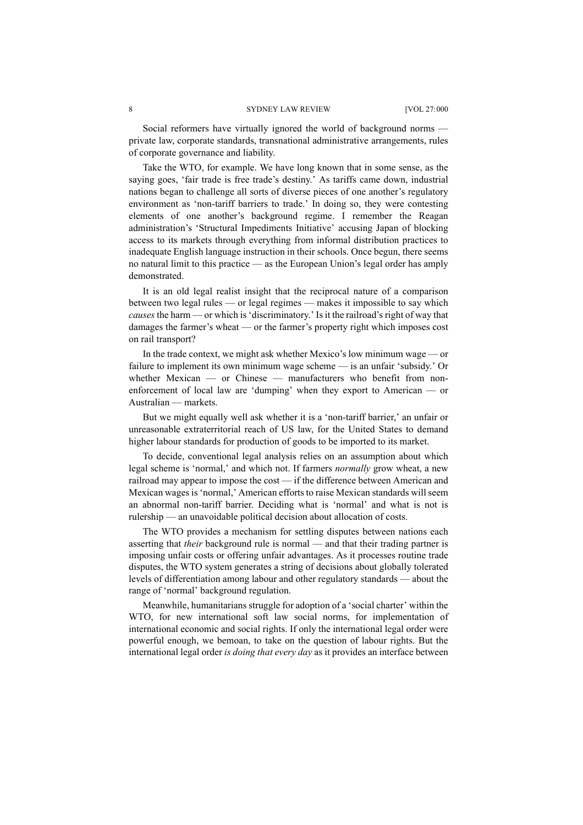Social reformers have virtually ignored the world of background norms private law, corporate standards, transnational administrative arrangements, rules of corporate governance and liability.

Take the WTO, for example. We have long known that in some sense, as the saying goes, 'fair trade is free trade's destiny.' As tariffs came down, industrial nations began to challenge all sorts of diverse pieces of one another's regulatory environment as 'non-tariff barriers to trade.' In doing so, they were contesting elements of one another's background regime. I remember the Reagan administration's 'Structural Impediments Initiative' accusing Japan of blocking access to its markets through everything from informal distribution practices to inadequate English language instruction in their schools. Once begun, there seems no natural limit to this practice — as the European Union's legal order has amply demonstrated.

It is an old legal realist insight that the reciprocal nature of a comparison between two legal rules — or legal regimes — makes it impossible to say which *causes* the harm — or which is 'discriminatory.' Is it the railroad's right of way that damages the farmer's wheat — or the farmer's property right which imposes cost on rail transport?

In the trade context, we might ask whether Mexico's low minimum wage — or failure to implement its own minimum wage scheme — is an unfair 'subsidy.' Or whether Mexican — or Chinese — manufacturers who benefit from nonenforcement of local law are 'dumping' when they export to American — or Australian — markets.

But we might equally well ask whether it is a 'non-tariff barrier,' an unfair or unreasonable extraterritorial reach of US law, for the United States to demand higher labour standards for production of goods to be imported to its market.

To decide, conventional legal analysis relies on an assumption about which legal scheme is 'normal,' and which not. If farmers *normally* grow wheat, a new railroad may appear to impose the cost — if the difference between American and Mexican wages is 'normal,' American efforts to raise Mexican standards will seem an abnormal non-tariff barrier. Deciding what is 'normal' and what is not is rulership — an unavoidable political decision about allocation of costs.

The WTO provides a mechanism for settling disputes between nations each asserting that *their* background rule is normal — and that their trading partner is imposing unfair costs or offering unfair advantages. As it processes routine trade disputes, the WTO system generates a string of decisions about globally tolerated levels of differentiation among labour and other regulatory standards — about the range of 'normal' background regulation.

Meanwhile, humanitarians struggle for adoption of a 'social charter' within the WTO, for new international soft law social norms, for implementation of international economic and social rights. If only the international legal order were powerful enough, we bemoan, to take on the question of labour rights. But the international legal order *is doing that every day* as it provides an interface between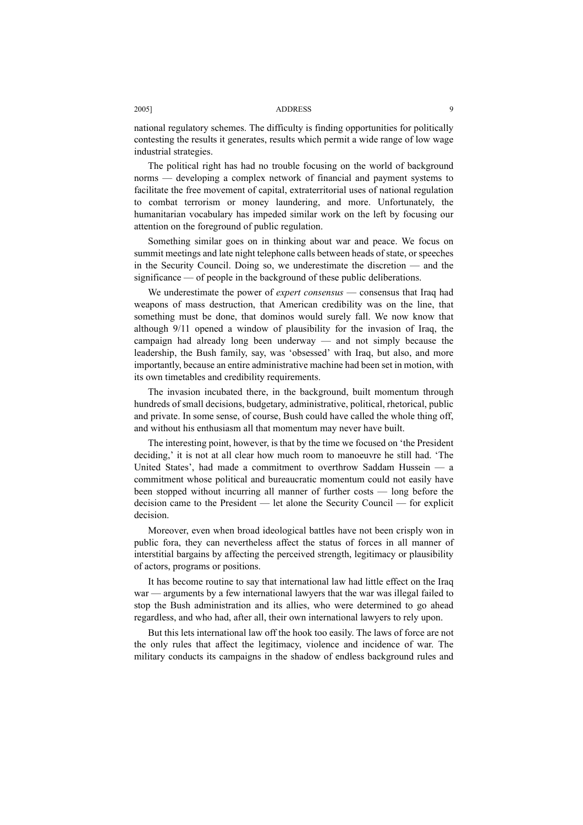national regulatory schemes. The difficulty is finding opportunities for politically contesting the results it generates, results which permit a wide range of low wage industrial strategies.

The political right has had no trouble focusing on the world of background norms — developing a complex network of financial and payment systems to facilitate the free movement of capital, extraterritorial uses of national regulation to combat terrorism or money laundering, and more. Unfortunately, the humanitarian vocabulary has impeded similar work on the left by focusing our attention on the foreground of public regulation.

Something similar goes on in thinking about war and peace. We focus on summit meetings and late night telephone calls between heads of state, or speeches in the Security Council. Doing so, we underestimate the discretion — and the significance — of people in the background of these public deliberations.

We underestimate the power of *expert consensus* — consensus that Iraq had weapons of mass destruction, that American credibility was on the line, that something must be done, that dominos would surely fall. We now know that although 9/11 opened a window of plausibility for the invasion of Iraq, the campaign had already long been underway — and not simply because the leadership, the Bush family, say, was 'obsessed' with Iraq, but also, and more importantly, because an entire administrative machine had been set in motion, with its own timetables and credibility requirements.

The invasion incubated there, in the background, built momentum through hundreds of small decisions, budgetary, administrative, political, rhetorical, public and private. In some sense, of course, Bush could have called the whole thing off, and without his enthusiasm all that momentum may never have built.

The interesting point, however, is that by the time we focused on 'the President deciding,' it is not at all clear how much room to manoeuvre he still had. 'The United States', had made a commitment to overthrow Saddam Hussein — a commitment whose political and bureaucratic momentum could not easily have been stopped without incurring all manner of further costs — long before the decision came to the President — let alone the Security Council — for explicit decision.

Moreover, even when broad ideological battles have not been crisply won in public fora, they can nevertheless affect the status of forces in all manner of interstitial bargains by affecting the perceived strength, legitimacy or plausibility of actors, programs or positions.

It has become routine to say that international law had little effect on the Iraq war — arguments by a few international lawyers that the war was illegal failed to stop the Bush administration and its allies, who were determined to go ahead regardless, and who had, after all, their own international lawyers to rely upon.

But this lets international law off the hook too easily. The laws of force are not the only rules that affect the legitimacy, violence and incidence of war. The military conducts its campaigns in the shadow of endless background rules and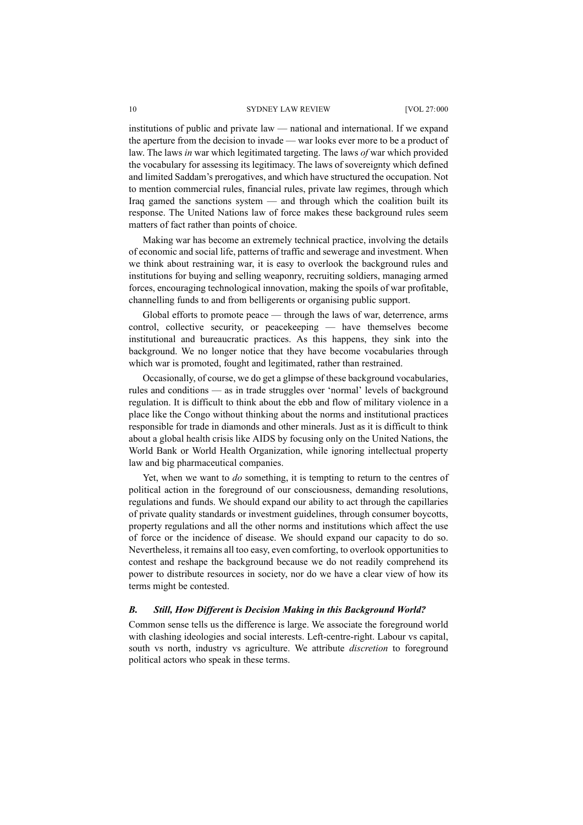# 10 SYDNEY LAW REVIEW [VOL 27:000

institutions of public and private law — national and international. If we expand the aperture from the decision to invade — war looks ever more to be a product of law. The laws *in* war which legitimated targeting. The laws *of* war which provided the vocabulary for assessing its legitimacy. The laws of sovereignty which defined and limited Saddam's prerogatives, and which have structured the occupation. Not to mention commercial rules, financial rules, private law regimes, through which Iraq gamed the sanctions system — and through which the coalition built its response. The United Nations law of force makes these background rules seem matters of fact rather than points of choice.

Making war has become an extremely technical practice, involving the details of economic and social life, patterns of traffic and sewerage and investment. When we think about restraining war, it is easy to overlook the background rules and institutions for buying and selling weaponry, recruiting soldiers, managing armed forces, encouraging technological innovation, making the spoils of war profitable, channelling funds to and from belligerents or organising public support.

Global efforts to promote peace — through the laws of war, deterrence, arms control, collective security, or peacekeeping — have themselves become institutional and bureaucratic practices. As this happens, they sink into the background. We no longer notice that they have become vocabularies through which war is promoted, fought and legitimated, rather than restrained.

Occasionally, of course, we do get a glimpse of these background vocabularies, rules and conditions — as in trade struggles over 'normal' levels of background regulation. It is difficult to think about the ebb and flow of military violence in a place like the Congo without thinking about the norms and institutional practices responsible for trade in diamonds and other minerals. Just as it is difficult to think about a global health crisis like AIDS by focusing only on the United Nations, the World Bank or World Health Organization, while ignoring intellectual property law and big pharmaceutical companies.

Yet, when we want to *do* something, it is tempting to return to the centres of political action in the foreground of our consciousness, demanding resolutions, regulations and funds. We should expand our ability to act through the capillaries of private quality standards or investment guidelines, through consumer boycotts, property regulations and all the other norms and institutions which affect the use of force or the incidence of disease. We should expand our capacity to do so. Nevertheless, it remains all too easy, even comforting, to overlook opportunities to contest and reshape the background because we do not readily comprehend its power to distribute resources in society, nor do we have a clear view of how its terms might be contested.

# *B. Still, How Different is Decision Making in this Background World?*

Common sense tells us the difference is large. We associate the foreground world with clashing ideologies and social interests. Left-centre-right. Labour vs capital, south vs north, industry vs agriculture. We attribute *discretion* to foreground political actors who speak in these terms.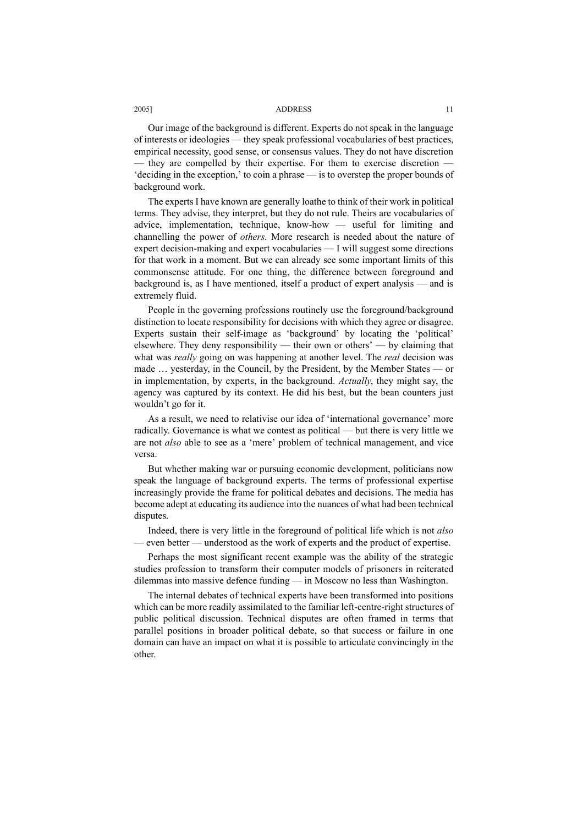Our image of the background is different. Experts do not speak in the language of interests or ideologies — they speak professional vocabularies of best practices, empirical necessity, good sense, or consensus values. They do not have discretion — they are compelled by their expertise. For them to exercise discretion — 'deciding in the exception,' to coin a phrase — is to overstep the proper bounds of background work.

The experts I have known are generally loathe to think of their work in political terms. They advise, they interpret, but they do not rule. Theirs are vocabularies of advice, implementation, technique, know-how — useful for limiting and channelling the power of *others.* More research is needed about the nature of expert decision-making and expert vocabularies — I will suggest some directions for that work in a moment. But we can already see some important limits of this commonsense attitude. For one thing, the difference between foreground and background is, as I have mentioned, itself a product of expert analysis — and is extremely fluid.

People in the governing professions routinely use the foreground/background distinction to locate responsibility for decisions with which they agree or disagree. Experts sustain their self-image as 'background' by locating the 'political' elsewhere. They deny responsibility — their own or others' — by claiming that what was *really* going on was happening at another level. The *real* decision was made … yesterday, in the Council, by the President, by the Member States — or in implementation, by experts, in the background. *Actually*, they might say, the agency was captured by its context. He did his best, but the bean counters just wouldn't go for it.

As a result, we need to relativise our idea of 'international governance' more radically. Governance is what we contest as political — but there is very little we are not *also* able to see as a 'mere' problem of technical management, and vice versa.

But whether making war or pursuing economic development, politicians now speak the language of background experts. The terms of professional expertise increasingly provide the frame for political debates and decisions. The media has become adept at educating its audience into the nuances of what had been technical disputes.

Indeed, there is very little in the foreground of political life which is not *also* — even better — understood as the work of experts and the product of expertise.

Perhaps the most significant recent example was the ability of the strategic studies profession to transform their computer models of prisoners in reiterated dilemmas into massive defence funding — in Moscow no less than Washington.

The internal debates of technical experts have been transformed into positions which can be more readily assimilated to the familiar left-centre-right structures of public political discussion. Technical disputes are often framed in terms that parallel positions in broader political debate, so that success or failure in one domain can have an impact on what it is possible to articulate convincingly in the other.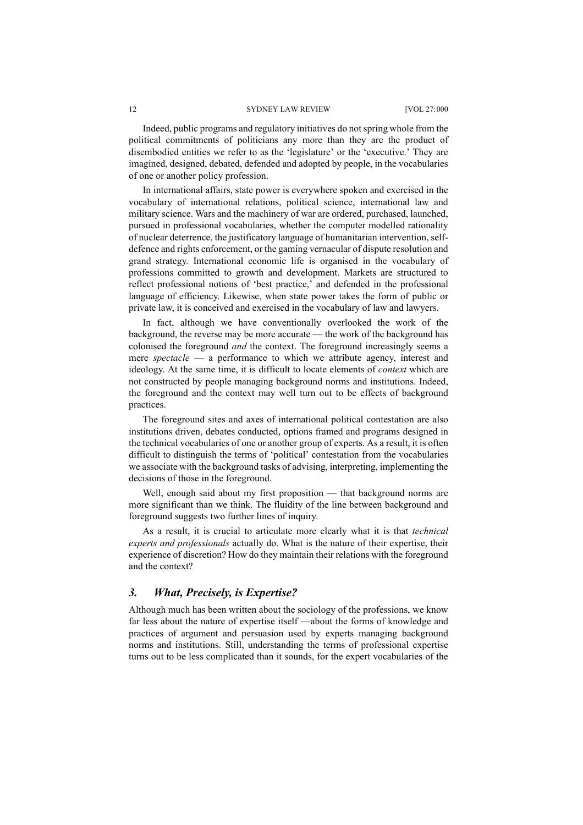Indeed, public programs and regulatory initiatives do not spring whole from the political commitments of politicians any more than they are the product of disembodied entities we refer to as the 'legislature' or the 'executive.' They are imagined, designed, debated, defended and adopted by people, in the vocabularies of one or another policy profession.

In international affairs, state power is everywhere spoken and exercised in the vocabulary of international relations, political science, international law and military science. Wars and the machinery of war are ordered, purchased, launched, pursued in professional vocabularies, whether the computer modelled rationality of nuclear deterrence, the justificatory language of humanitarian intervention, selfdefence and rights enforcement, or the gaming vernacular of dispute resolution and grand strategy. International economic life is organised in the vocabulary of professions committed to growth and development. Markets are structured to reflect professional notions of 'best practice,' and defended in the professional language of efficiency. Likewise, when state power takes the form of public or private law, it is conceived and exercised in the vocabulary of law and lawyers.

In fact, although we have conventionally overlooked the work of the background, the reverse may be more accurate — the work of the background has colonised the foreground *and* the context. The foreground increasingly seems a mere *spectacle* — a performance to which we attribute agency, interest and ideology. At the same time, it is difficult to locate elements of *context* which are not constructed by people managing background norms and institutions. Indeed, the foreground and the context may well turn out to be effects of background practices.

The foreground sites and axes of international political contestation are also institutions driven, debates conducted, options framed and programs designed in the technical vocabularies of one or another group of experts. As a result, it is often difficult to distinguish the terms of 'political' contestation from the vocabularies we associate with the background tasks of advising, interpreting, implementing the decisions of those in the foreground.

Well, enough said about my first proposition — that background norms are more significant than we think. The fluidity of the line between background and foreground suggests two further lines of inquiry.

As a result, it is crucial to articulate more clearly what it is that *technical experts and professionals* actually do. What is the nature of their expertise, their experience of discretion? How do they maintain their relations with the foreground and the context?

# *3. What, Precisely, is Expertise?*

Although much has been written about the sociology of the professions, we know far less about the nature of expertise itself —about the forms of knowledge and practices of argument and persuasion used by experts managing background norms and institutions. Still, understanding the terms of professional expertise turns out to be less complicated than it sounds, for the expert vocabularies of the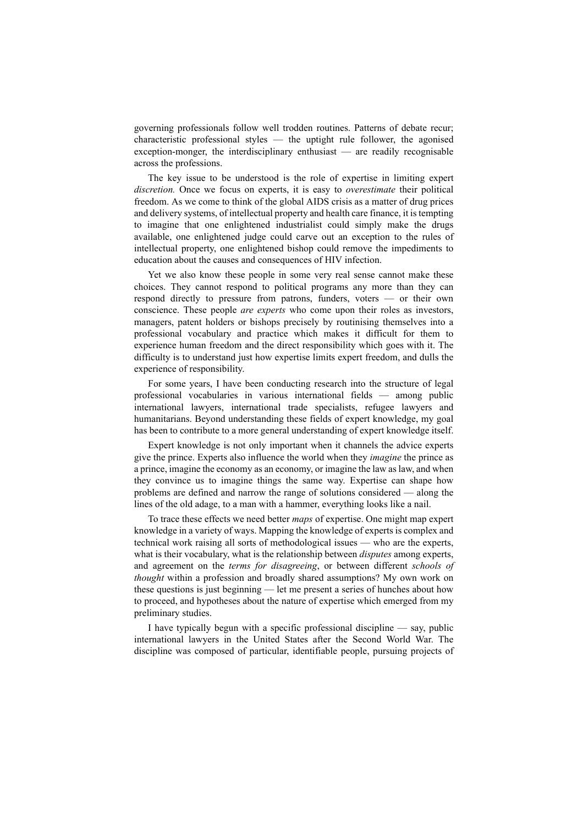governing professionals follow well trodden routines. Patterns of debate recur; characteristic professional styles — the uptight rule follower, the agonised exception-monger, the interdisciplinary enthusiast — are readily recognisable across the professions.

The key issue to be understood is the role of expertise in limiting expert *discretion.* Once we focus on experts, it is easy to *overestimate* their political freedom. As we come to think of the global AIDS crisis as a matter of drug prices and delivery systems, of intellectual property and health care finance, it is tempting to imagine that one enlightened industrialist could simply make the drugs available, one enlightened judge could carve out an exception to the rules of intellectual property, one enlightened bishop could remove the impediments to education about the causes and consequences of HIV infection.

Yet we also know these people in some very real sense cannot make these choices. They cannot respond to political programs any more than they can respond directly to pressure from patrons, funders, voters — or their own conscience. These people *are experts* who come upon their roles as investors, managers, patent holders or bishops precisely by routinising themselves into a professional vocabulary and practice which makes it difficult for them to experience human freedom and the direct responsibility which goes with it. The difficulty is to understand just how expertise limits expert freedom, and dulls the experience of responsibility.

For some years, I have been conducting research into the structure of legal professional vocabularies in various international fields — among public international lawyers, international trade specialists, refugee lawyers and humanitarians. Beyond understanding these fields of expert knowledge, my goal has been to contribute to a more general understanding of expert knowledge itself.

Expert knowledge is not only important when it channels the advice experts give the prince. Experts also influence the world when they *imagine* the prince as a prince, imagine the economy as an economy, or imagine the law as law, and when they convince us to imagine things the same way. Expertise can shape how problems are defined and narrow the range of solutions considered — along the lines of the old adage, to a man with a hammer, everything looks like a nail.

To trace these effects we need better *maps* of expertise. One might map expert knowledge in a variety of ways. Mapping the knowledge of experts is complex and technical work raising all sorts of methodological issues — who are the experts, what is their vocabulary, what is the relationship between *disputes* among experts, and agreement on the *terms for disagreeing*, or between different *schools of thought* within a profession and broadly shared assumptions? My own work on these questions is just beginning — let me present a series of hunches about how to proceed, and hypotheses about the nature of expertise which emerged from my preliminary studies.

I have typically begun with a specific professional discipline — say, public international lawyers in the United States after the Second World War. The discipline was composed of particular, identifiable people, pursuing projects of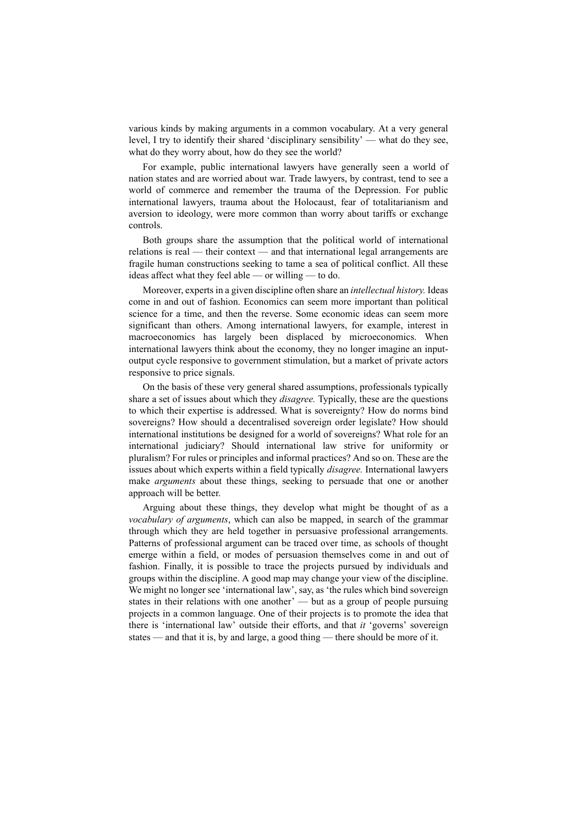various kinds by making arguments in a common vocabulary. At a very general level, I try to identify their shared 'disciplinary sensibility' — what do they see, what do they worry about, how do they see the world?

For example, public international lawyers have generally seen a world of nation states and are worried about war. Trade lawyers, by contrast, tend to see a world of commerce and remember the trauma of the Depression. For public international lawyers, trauma about the Holocaust, fear of totalitarianism and aversion to ideology, were more common than worry about tariffs or exchange controls.

Both groups share the assumption that the political world of international relations is real — their context — and that international legal arrangements are fragile human constructions seeking to tame a sea of political conflict. All these ideas affect what they feel able — or willing — to do.

Moreover, experts in a given discipline often share an *intellectual history.* Ideas come in and out of fashion. Economics can seem more important than political science for a time, and then the reverse. Some economic ideas can seem more significant than others. Among international lawyers, for example, interest in macroeconomics has largely been displaced by microeconomics. When international lawyers think about the economy, they no longer imagine an inputoutput cycle responsive to government stimulation, but a market of private actors responsive to price signals.

On the basis of these very general shared assumptions, professionals typically share a set of issues about which they *disagree.* Typically, these are the questions to which their expertise is addressed. What is sovereignty? How do norms bind sovereigns? How should a decentralised sovereign order legislate? How should international institutions be designed for a world of sovereigns? What role for an international judiciary? Should international law strive for uniformity or pluralism? For rules or principles and informal practices? And so on. These are the issues about which experts within a field typically *disagree.* International lawyers make *arguments* about these things, seeking to persuade that one or another approach will be better.

Arguing about these things, they develop what might be thought of as a *vocabulary of arguments*, which can also be mapped, in search of the grammar through which they are held together in persuasive professional arrangements. Patterns of professional argument can be traced over time, as schools of thought emerge within a field, or modes of persuasion themselves come in and out of fashion. Finally, it is possible to trace the projects pursued by individuals and groups within the discipline. A good map may change your view of the discipline. We might no longer see 'international law', say, as 'the rules which bind sovereign states in their relations with one another' — but as a group of people pursuing projects in a common language. One of their projects is to promote the idea that there is 'international law' outside their efforts, and that *it* 'governs' sovereign states — and that it is, by and large, a good thing — there should be more of it.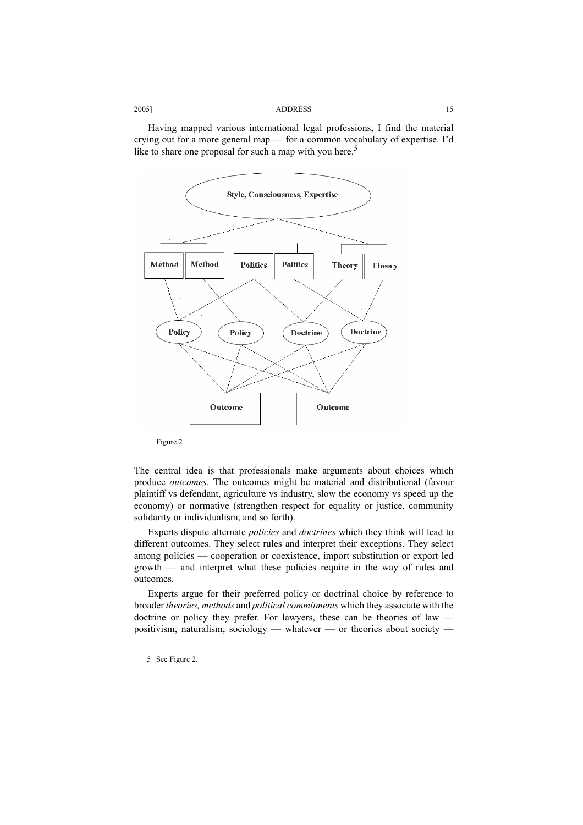Having mapped various international legal professions, I find the material crying out for a more general map — for a common vocabulary of expertise. I'd like to share one proposal for such a map with you here.<sup>5</sup>





The central idea is that professionals make arguments about choices which produce *outcomes*. The outcomes might be material and distributional (favour plaintiff vs defendant, agriculture vs industry, slow the economy vs speed up the economy) or normative (strengthen respect for equality or justice, community solidarity or individualism, and so forth).

Experts dispute alternate *policies* and *doctrines* which they think will lead to different outcomes. They select rules and interpret their exceptions. They select among policies — cooperation or coexistence, import substitution or export led growth — and interpret what these policies require in the way of rules and outcomes.

Experts argue for their preferred policy or doctrinal choice by reference to broader *theories, methods* and *political commitments* which they associate with the doctrine or policy they prefer. For lawyers, these can be theories of law positivism, naturalism, sociology — whatever — or theories about society —

<sup>5</sup> See Figure 2.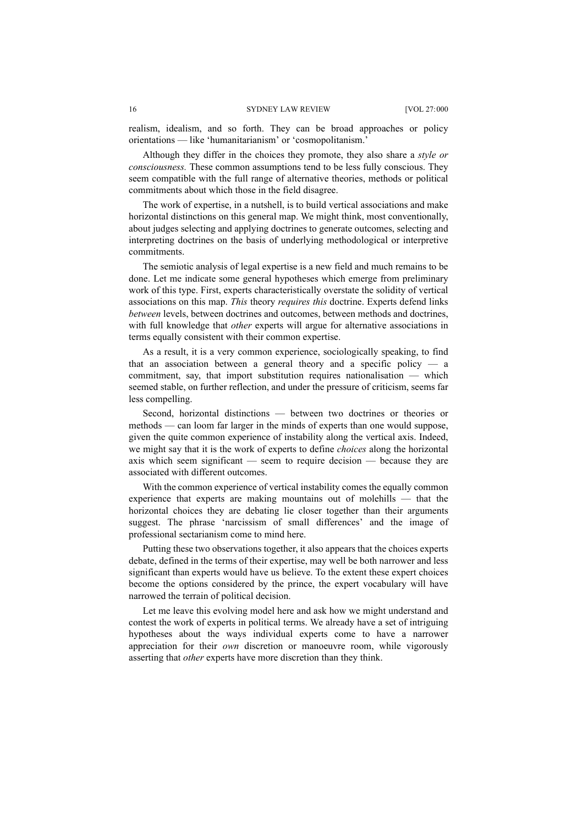realism, idealism, and so forth. They can be broad approaches or policy orientations — like 'humanitarianism' or 'cosmopolitanism.'

Although they differ in the choices they promote, they also share a *style or consciousness.* These common assumptions tend to be less fully conscious. They seem compatible with the full range of alternative theories, methods or political commitments about which those in the field disagree.

The work of expertise, in a nutshell, is to build vertical associations and make horizontal distinctions on this general map. We might think, most conventionally, about judges selecting and applying doctrines to generate outcomes, selecting and interpreting doctrines on the basis of underlying methodological or interpretive commitments.

The semiotic analysis of legal expertise is a new field and much remains to be done. Let me indicate some general hypotheses which emerge from preliminary work of this type. First, experts characteristically overstate the solidity of vertical associations on this map. *This* theory *requires this* doctrine. Experts defend links *between* levels, between doctrines and outcomes, between methods and doctrines, with full knowledge that *other* experts will argue for alternative associations in terms equally consistent with their common expertise.

As a result, it is a very common experience, sociologically speaking, to find that an association between a general theory and a specific policy  $-$  a commitment, say, that import substitution requires nationalisation — which seemed stable, on further reflection, and under the pressure of criticism, seems far less compelling.

Second, horizontal distinctions — between two doctrines or theories or methods — can loom far larger in the minds of experts than one would suppose. given the quite common experience of instability along the vertical axis. Indeed, we might say that it is the work of experts to define *choices* along the horizontal axis which seem significant — seem to require decision — because they are associated with different outcomes.

With the common experience of vertical instability comes the equally common experience that experts are making mountains out of molehills — that the horizontal choices they are debating lie closer together than their arguments suggest. The phrase 'narcissism of small differences' and the image of professional sectarianism come to mind here.

Putting these two observations together, it also appears that the choices experts debate, defined in the terms of their expertise, may well be both narrower and less significant than experts would have us believe. To the extent these expert choices become the options considered by the prince, the expert vocabulary will have narrowed the terrain of political decision.

Let me leave this evolving model here and ask how we might understand and contest the work of experts in political terms. We already have a set of intriguing hypotheses about the ways individual experts come to have a narrower appreciation for their *own* discretion or manoeuvre room, while vigorously asserting that *other* experts have more discretion than they think.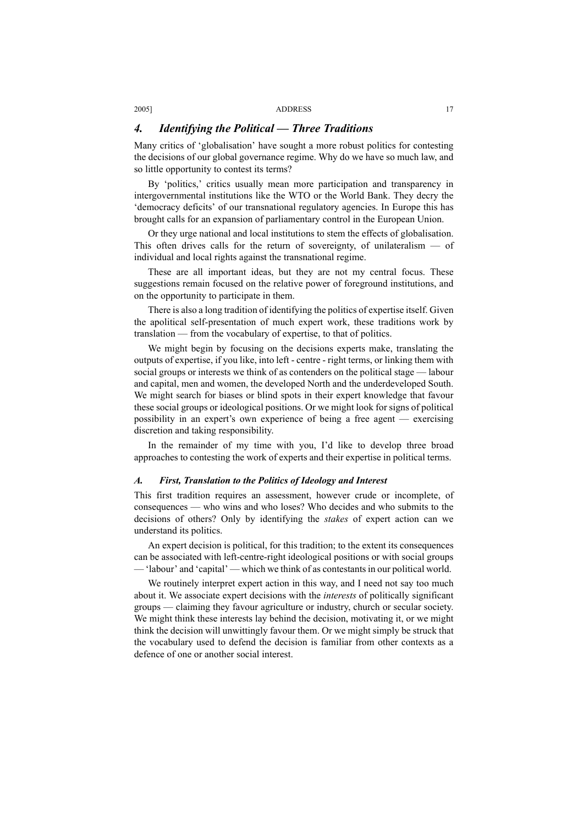# *4. Identifying the Political — Three Traditions*

Many critics of 'globalisation' have sought a more robust politics for contesting the decisions of our global governance regime. Why do we have so much law, and so little opportunity to contest its terms?

By 'politics,' critics usually mean more participation and transparency in intergovernmental institutions like the WTO or the World Bank. They decry the 'democracy deficits' of our transnational regulatory agencies. In Europe this has brought calls for an expansion of parliamentary control in the European Union.

Or they urge national and local institutions to stem the effects of globalisation. This often drives calls for the return of sovereignty, of unilateralism  $-$  of individual and local rights against the transnational regime.

These are all important ideas, but they are not my central focus. These suggestions remain focused on the relative power of foreground institutions, and on the opportunity to participate in them.

There is also a long tradition of identifying the politics of expertise itself. Given the apolitical self-presentation of much expert work, these traditions work by translation — from the vocabulary of expertise, to that of politics.

We might begin by focusing on the decisions experts make, translating the outputs of expertise, if you like, into left - centre - right terms, or linking them with social groups or interests we think of as contenders on the political stage — labour and capital, men and women, the developed North and the underdeveloped South. We might search for biases or blind spots in their expert knowledge that favour these social groups or ideological positions. Or we might look for signs of political possibility in an expert's own experience of being a free agent — exercising discretion and taking responsibility.

In the remainder of my time with you, I'd like to develop three broad approaches to contesting the work of experts and their expertise in political terms.

# *A. First, Translation to the Politics of Ideology and Interest*

This first tradition requires an assessment, however crude or incomplete, of consequences — who wins and who loses? Who decides and who submits to the decisions of others? Only by identifying the *stakes* of expert action can we understand its politics.

An expert decision is political, for this tradition; to the extent its consequences can be associated with left-centre-right ideological positions or with social groups — 'labour' and 'capital' — which we think of as contestants in our political world.

We routinely interpret expert action in this way, and I need not say too much about it. We associate expert decisions with the *interests* of politically significant groups — claiming they favour agriculture or industry, church or secular society. We might think these interests lay behind the decision, motivating it, or we might think the decision will unwittingly favour them. Or we might simply be struck that the vocabulary used to defend the decision is familiar from other contexts as a defence of one or another social interest.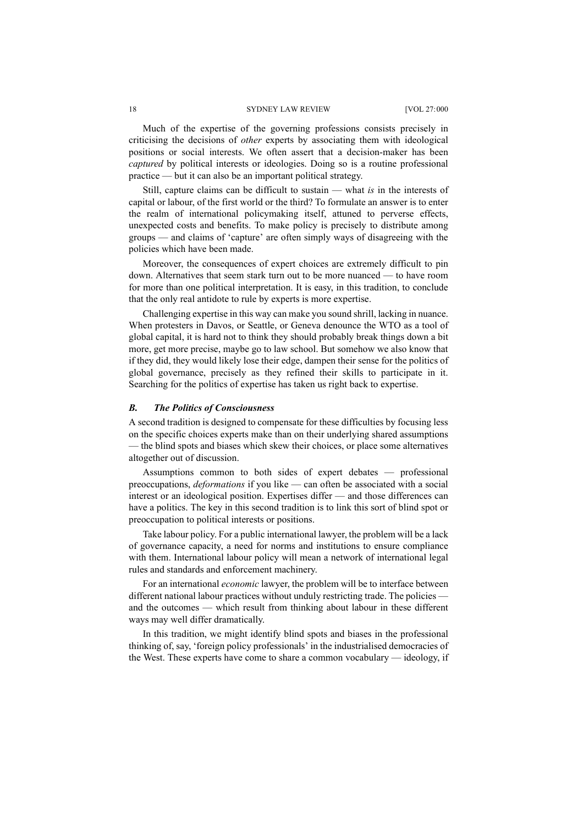Much of the expertise of the governing professions consists precisely in criticising the decisions of *other* experts by associating them with ideological positions or social interests. We often assert that a decision-maker has been *captured* by political interests or ideologies. Doing so is a routine professional practice — but it can also be an important political strategy.

Still, capture claims can be difficult to sustain — what *is* in the interests of capital or labour, of the first world or the third? To formulate an answer is to enter the realm of international policymaking itself, attuned to perverse effects, unexpected costs and benefits. To make policy is precisely to distribute among groups — and claims of 'capture' are often simply ways of disagreeing with the policies which have been made.

Moreover, the consequences of expert choices are extremely difficult to pin down. Alternatives that seem stark turn out to be more nuanced — to have room for more than one political interpretation. It is easy, in this tradition, to conclude that the only real antidote to rule by experts is more expertise.

Challenging expertise in this way can make you sound shrill, lacking in nuance. When protesters in Davos, or Seattle, or Geneva denounce the WTO as a tool of global capital, it is hard not to think they should probably break things down a bit more, get more precise, maybe go to law school. But somehow we also know that if they did, they would likely lose their edge, dampen their sense for the politics of global governance, precisely as they refined their skills to participate in it. Searching for the politics of expertise has taken us right back to expertise.

# *B. The Politics of Consciousness*

A second tradition is designed to compensate for these difficulties by focusing less on the specific choices experts make than on their underlying shared assumptions — the blind spots and biases which skew their choices, or place some alternatives altogether out of discussion.

Assumptions common to both sides of expert debates — professional preoccupations, *deformations* if you like — can often be associated with a social interest or an ideological position. Expertises differ — and those differences can have a politics. The key in this second tradition is to link this sort of blind spot or preoccupation to political interests or positions.

Take labour policy. For a public international lawyer, the problem will be a lack of governance capacity, a need for norms and institutions to ensure compliance with them. International labour policy will mean a network of international legal rules and standards and enforcement machinery.

For an international *economic* lawyer, the problem will be to interface between different national labour practices without unduly restricting trade. The policies and the outcomes — which result from thinking about labour in these different ways may well differ dramatically.

In this tradition, we might identify blind spots and biases in the professional thinking of, say, 'foreign policy professionals' in the industrialised democracies of the West. These experts have come to share a common vocabulary — ideology, if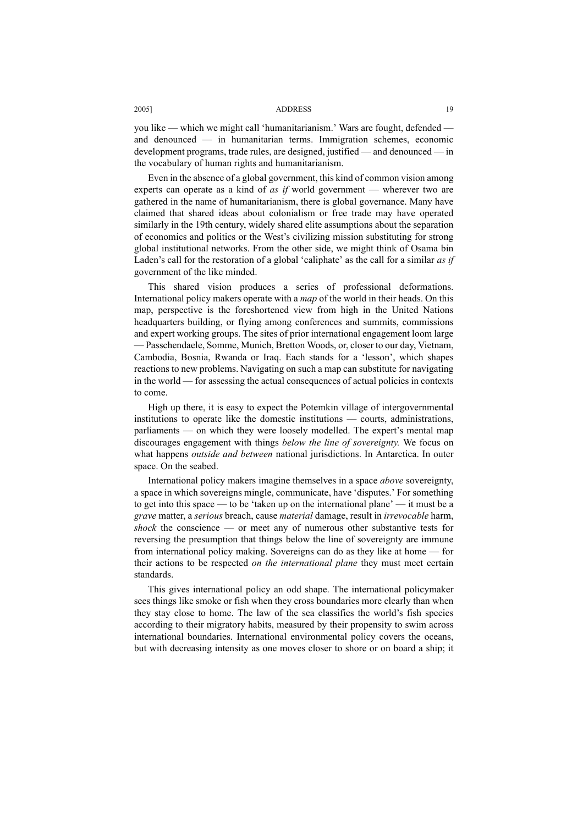you like — which we might call 'humanitarianism.' Wars are fought, defended and denounced — in humanitarian terms. Immigration schemes, economic development programs, trade rules, are designed, justified — and denounced — in the vocabulary of human rights and humanitarianism.

Even in the absence of a global government, this kind of common vision among experts can operate as a kind of *as if* world government — wherever two are gathered in the name of humanitarianism, there is global governance. Many have claimed that shared ideas about colonialism or free trade may have operated similarly in the 19th century, widely shared elite assumptions about the separation of economics and politics or the West's civilizing mission substituting for strong global institutional networks. From the other side, we might think of Osama bin Laden's call for the restoration of a global 'caliphate' as the call for a similar *as if* government of the like minded.

This shared vision produces a series of professional deformations. International policy makers operate with a *map* of the world in their heads. On this map, perspective is the foreshortened view from high in the United Nations headquarters building, or flying among conferences and summits, commissions and expert working groups. The sites of prior international engagement loom large — Passchendaele, Somme, Munich, Bretton Woods, or, closer to our day, Vietnam, Cambodia, Bosnia, Rwanda or Iraq. Each stands for a 'lesson', which shapes reactions to new problems. Navigating on such a map can substitute for navigating in the world — for assessing the actual consequences of actual policies in contexts to come.

High up there, it is easy to expect the Potemkin village of intergovernmental institutions to operate like the domestic institutions — courts, administrations, parliaments — on which they were loosely modelled. The expert's mental map discourages engagement with things *below the line of sovereignty.* We focus on what happens *outside and between* national jurisdictions. In Antarctica. In outer space. On the seabed.

International policy makers imagine themselves in a space *above* sovereignty, a space in which sovereigns mingle, communicate, have 'disputes.' For something to get into this space — to be 'taken up on the international plane' — it must be a *grave* matter, a *serious* breach, cause *material* damage, result in *irrevocable* harm, *shock* the conscience — or meet any of numerous other substantive tests for reversing the presumption that things below the line of sovereignty are immune from international policy making. Sovereigns can do as they like at home — for their actions to be respected *on the international plane* they must meet certain standards.

This gives international policy an odd shape. The international policymaker sees things like smoke or fish when they cross boundaries more clearly than when they stay close to home. The law of the sea classifies the world's fish species according to their migratory habits, measured by their propensity to swim across international boundaries. International environmental policy covers the oceans, but with decreasing intensity as one moves closer to shore or on board a ship; it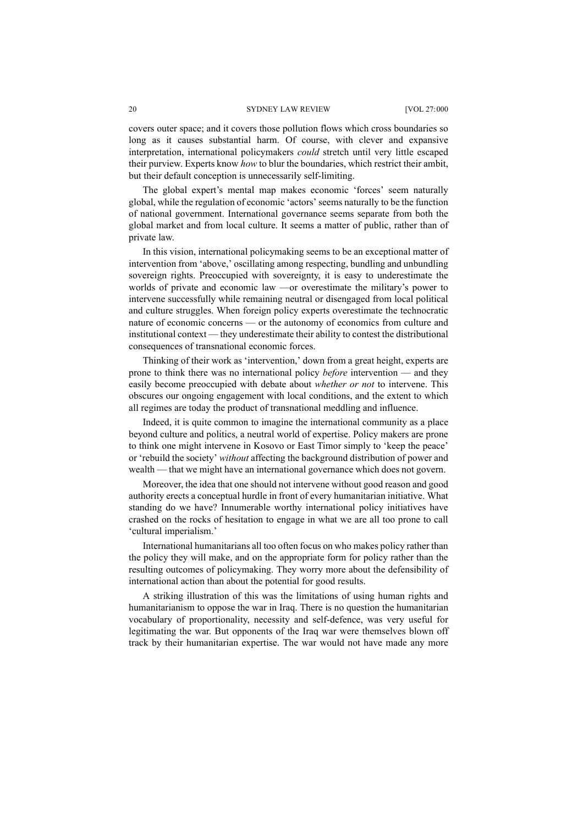covers outer space; and it covers those pollution flows which cross boundaries so long as it causes substantial harm. Of course, with clever and expansive interpretation, international policymakers *could* stretch until very little escaped their purview. Experts know *how* to blur the boundaries, which restrict their ambit, but their default conception is unnecessarily self-limiting.

The global expert's mental map makes economic 'forces' seem naturally global, while the regulation of economic 'actors' seems naturally to be the function of national government. International governance seems separate from both the global market and from local culture. It seems a matter of public, rather than of private law.

In this vision, international policymaking seems to be an exceptional matter of intervention from 'above,' oscillating among respecting, bundling and unbundling sovereign rights. Preoccupied with sovereignty, it is easy to underestimate the worlds of private and economic law —or overestimate the military's power to intervene successfully while remaining neutral or disengaged from local political and culture struggles. When foreign policy experts overestimate the technocratic nature of economic concerns — or the autonomy of economics from culture and institutional context — they underestimate their ability to contest the distributional consequences of transnational economic forces.

Thinking of their work as 'intervention,' down from a great height, experts are prone to think there was no international policy *before* intervention — and they easily become preoccupied with debate about *whether or not* to intervene. This obscures our ongoing engagement with local conditions, and the extent to which all regimes are today the product of transnational meddling and influence.

Indeed, it is quite common to imagine the international community as a place beyond culture and politics, a neutral world of expertise. Policy makers are prone to think one might intervene in Kosovo or East Timor simply to 'keep the peace' or 'rebuild the society' *without* affecting the background distribution of power and wealth — that we might have an international governance which does not govern.

Moreover, the idea that one should not intervene without good reason and good authority erects a conceptual hurdle in front of every humanitarian initiative. What standing do we have? Innumerable worthy international policy initiatives have crashed on the rocks of hesitation to engage in what we are all too prone to call 'cultural imperialism.'

International humanitarians all too often focus on who makes policy rather than the policy they will make, and on the appropriate form for policy rather than the resulting outcomes of policymaking. They worry more about the defensibility of international action than about the potential for good results.

A striking illustration of this was the limitations of using human rights and humanitarianism to oppose the war in Iraq. There is no question the humanitarian vocabulary of proportionality, necessity and self-defence, was very useful for legitimating the war. But opponents of the Iraq war were themselves blown off track by their humanitarian expertise. The war would not have made any more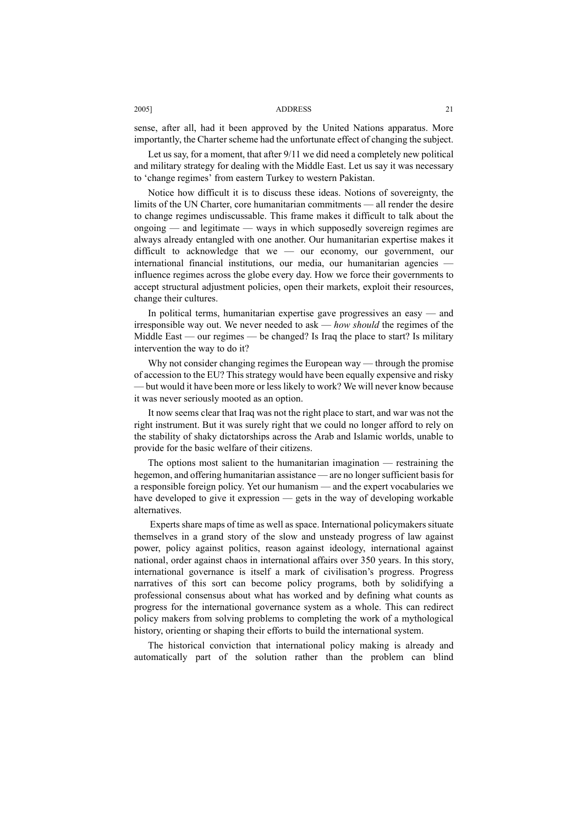sense, after all, had it been approved by the United Nations apparatus. More importantly, the Charter scheme had the unfortunate effect of changing the subject.

Let us say, for a moment, that after 9/11 we did need a completely new political and military strategy for dealing with the Middle East. Let us say it was necessary to 'change regimes' from eastern Turkey to western Pakistan.

Notice how difficult it is to discuss these ideas. Notions of sovereignty, the limits of the UN Charter, core humanitarian commitments — all render the desire to change regimes undiscussable. This frame makes it difficult to talk about the ongoing — and legitimate — ways in which supposedly sovereign regimes are always already entangled with one another. Our humanitarian expertise makes it difficult to acknowledge that we — our economy, our government, our international financial institutions, our media, our humanitarian agencies influence regimes across the globe every day. How we force their governments to accept structural adjustment policies, open their markets, exploit their resources, change their cultures.

In political terms, humanitarian expertise gave progressives an easy — and irresponsible way out. We never needed to ask — *how should* the regimes of the Middle East — our regimes — be changed? Is Iraq the place to start? Is military intervention the way to do it?

Why not consider changing regimes the European way — through the promise of accession to the EU? This strategy would have been equally expensive and risky — but would it have been more or less likely to work? We will never know because it was never seriously mooted as an option.

It now seems clear that Iraq was not the right place to start, and war was not the right instrument. But it was surely right that we could no longer afford to rely on the stability of shaky dictatorships across the Arab and Islamic worlds, unable to provide for the basic welfare of their citizens.

The options most salient to the humanitarian imagination — restraining the hegemon, and offering humanitarian assistance — are no longer sufficient basis for a responsible foreign policy. Yet our humanism — and the expert vocabularies we have developed to give it expression — gets in the way of developing workable alternatives.

 Experts share maps of time as well as space. International policymakers situate themselves in a grand story of the slow and unsteady progress of law against power, policy against politics, reason against ideology, international against national, order against chaos in international affairs over 350 years. In this story, international governance is itself a mark of civilisation's progress. Progress narratives of this sort can become policy programs, both by solidifying a professional consensus about what has worked and by defining what counts as progress for the international governance system as a whole. This can redirect policy makers from solving problems to completing the work of a mythological history, orienting or shaping their efforts to build the international system.

The historical conviction that international policy making is already and automatically part of the solution rather than the problem can blind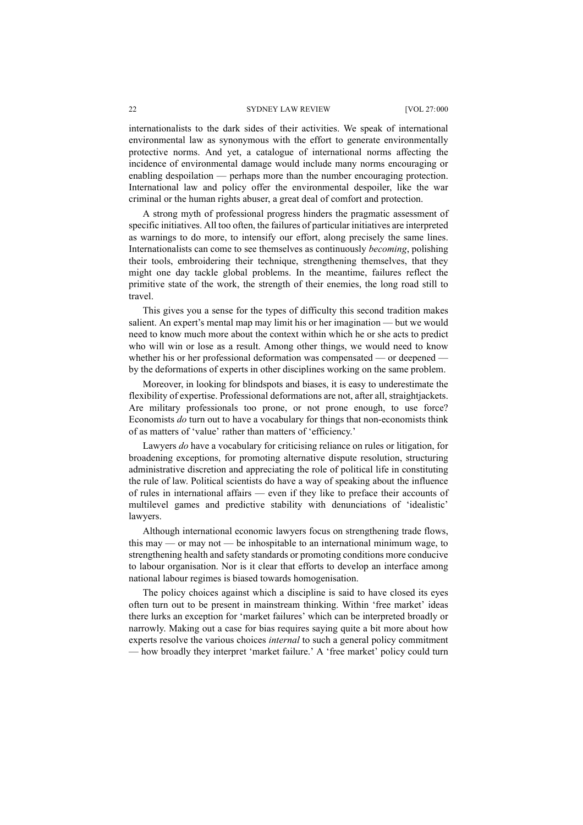# 22 SYDNEY LAW REVIEW [VOL 27:000

internationalists to the dark sides of their activities. We speak of international environmental law as synonymous with the effort to generate environmentally protective norms. And yet, a catalogue of international norms affecting the incidence of environmental damage would include many norms encouraging or enabling despoilation — perhaps more than the number encouraging protection. International law and policy offer the environmental despoiler, like the war criminal or the human rights abuser, a great deal of comfort and protection.

A strong myth of professional progress hinders the pragmatic assessment of specific initiatives. All too often, the failures of particular initiatives are interpreted as warnings to do more, to intensify our effort, along precisely the same lines. Internationalists can come to see themselves as continuously *becoming*, polishing their tools, embroidering their technique, strengthening themselves, that they might one day tackle global problems. In the meantime, failures reflect the primitive state of the work, the strength of their enemies, the long road still to travel.

This gives you a sense for the types of difficulty this second tradition makes salient. An expert's mental map may limit his or her imagination — but we would need to know much more about the context within which he or she acts to predict who will win or lose as a result. Among other things, we would need to know whether his or her professional deformation was compensated — or deepened by the deformations of experts in other disciplines working on the same problem.

Moreover, in looking for blindspots and biases, it is easy to underestimate the flexibility of expertise. Professional deformations are not, after all, straightjackets. Are military professionals too prone, or not prone enough, to use force? Economists *do* turn out to have a vocabulary for things that non-economists think of as matters of 'value' rather than matters of 'efficiency.'

Lawyers *do* have a vocabulary for criticising reliance on rules or litigation, for broadening exceptions, for promoting alternative dispute resolution, structuring administrative discretion and appreciating the role of political life in constituting the rule of law. Political scientists do have a way of speaking about the influence of rules in international affairs — even if they like to preface their accounts of multilevel games and predictive stability with denunciations of 'idealistic' lawyers.

Although international economic lawyers focus on strengthening trade flows, this may — or may not — be inhospitable to an international minimum wage, to strengthening health and safety standards or promoting conditions more conducive to labour organisation. Nor is it clear that efforts to develop an interface among national labour regimes is biased towards homogenisation.

The policy choices against which a discipline is said to have closed its eyes often turn out to be present in mainstream thinking. Within 'free market' ideas there lurks an exception for 'market failures' which can be interpreted broadly or narrowly. Making out a case for bias requires saying quite a bit more about how experts resolve the various choices *internal* to such a general policy commitment — how broadly they interpret 'market failure.' A 'free market' policy could turn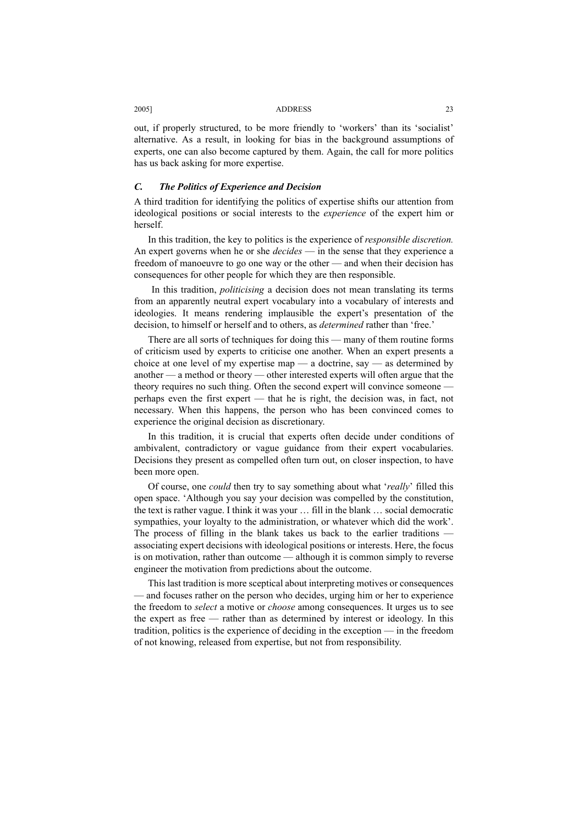out, if properly structured, to be more friendly to 'workers' than its 'socialist' alternative. As a result, in looking for bias in the background assumptions of experts, one can also become captured by them. Again, the call for more politics has us back asking for more expertise.

# *C. The Politics of Experience and Decision*

A third tradition for identifying the politics of expertise shifts our attention from ideological positions or social interests to the *experience* of the expert him or herself.

In this tradition, the key to politics is the experience of *responsible discretion.* An expert governs when he or she *decides* — in the sense that they experience a freedom of manoeuvre to go one way or the other — and when their decision has consequences for other people for which they are then responsible.

 In this tradition, *politicising* a decision does not mean translating its terms from an apparently neutral expert vocabulary into a vocabulary of interests and ideologies. It means rendering implausible the expert's presentation of the decision, to himself or herself and to others, as *determined* rather than 'free.'

There are all sorts of techniques for doing this — many of them routine forms of criticism used by experts to criticise one another. When an expert presents a choice at one level of my expertise map  $-$  a doctrine, say  $-$  as determined by another — a method or theory — other interested experts will often argue that the theory requires no such thing. Often the second expert will convince someone perhaps even the first expert — that he is right, the decision was, in fact, not necessary. When this happens, the person who has been convinced comes to experience the original decision as discretionary.

In this tradition, it is crucial that experts often decide under conditions of ambivalent, contradictory or vague guidance from their expert vocabularies. Decisions they present as compelled often turn out, on closer inspection, to have been more open.

Of course, one *could* then try to say something about what '*really*' filled this open space. 'Although you say your decision was compelled by the constitution, the text is rather vague. I think it was your … fill in the blank … social democratic sympathies, your loyalty to the administration, or whatever which did the work'. The process of filling in the blank takes us back to the earlier traditions associating expert decisions with ideological positions or interests. Here, the focus is on motivation, rather than outcome — although it is common simply to reverse engineer the motivation from predictions about the outcome.

This last tradition is more sceptical about interpreting motives or consequences — and focuses rather on the person who decides, urging him or her to experience the freedom to *select* a motive or *choose* among consequences. It urges us to see the expert as free — rather than as determined by interest or ideology. In this tradition, politics is the experience of deciding in the exception — in the freedom of not knowing, released from expertise, but not from responsibility.